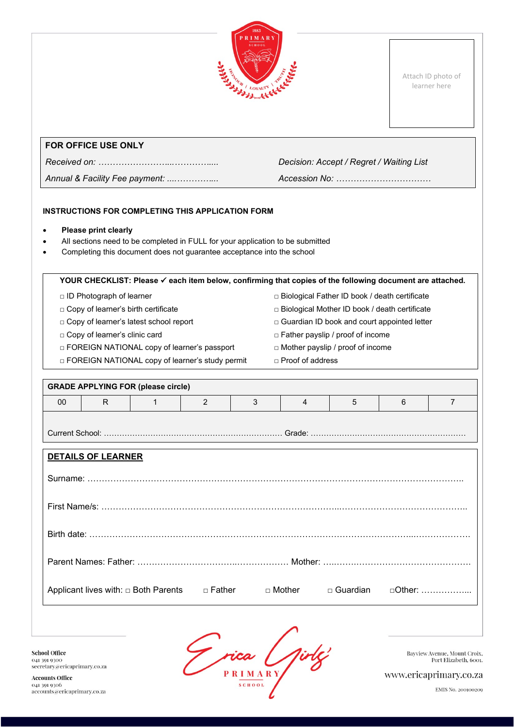

Attach ID photo of learner here

# **FOR OFFICE USE ONLY**

*Annual & Facility Fee payment: ....…………... Accession No: ……………………………*

*Received on: ……………………...………….... Decision: Accept / Regret / Waiting List*

# **INSTRUCTIONS FOR COMPLETING THIS APPLICATION FORM**

- **Please print clearly**
- All sections need to be completed in FULL for your application to be submitted
- Completing this document does not guarantee acceptance into the school

| YOUR CHECKLIST: Please √ each item below, confirming that copies of the following document are attached. |                                                                               |                                                   |          |   |                         |                                                 |   |                |
|----------------------------------------------------------------------------------------------------------|-------------------------------------------------------------------------------|---------------------------------------------------|----------|---|-------------------------|-------------------------------------------------|---|----------------|
|                                                                                                          | □ Biological Father ID book / death certificate<br>□ ID Photograph of learner |                                                   |          |   |                         |                                                 |   |                |
|                                                                                                          | □ Copy of learner's birth certificate                                         |                                                   |          |   |                         | □ Biological Mother ID book / death certificate |   |                |
|                                                                                                          |                                                                               | □ Copy of learner's latest school report          |          |   |                         | □ Guardian ID book and court appointed letter   |   |                |
|                                                                                                          | □ Copy of learner's clinic card                                               |                                                   |          |   |                         | $\Box$ Father payslip / proof of income         |   |                |
| □ FOREIGN NATIONAL copy of learner's passport                                                            |                                                                               |                                                   |          |   |                         | □ Mother payslip / proof of income              |   |                |
|                                                                                                          |                                                                               | □ FOREIGN NATIONAL copy of learner's study permit |          |   | $\Box$ Proof of address |                                                 |   |                |
|                                                                                                          |                                                                               |                                                   |          |   |                         |                                                 |   |                |
|                                                                                                          |                                                                               | <b>GRADE APPLYING FOR (please circle)</b>         |          |   |                         |                                                 |   |                |
| 00                                                                                                       | R.                                                                            | 1                                                 | 2        | 3 | $\overline{4}$          | 5                                               | 6 | $\overline{7}$ |
|                                                                                                          |                                                                               |                                                   |          |   |                         |                                                 |   |                |
|                                                                                                          |                                                                               |                                                   |          |   |                         |                                                 |   |                |
|                                                                                                          |                                                                               |                                                   |          |   |                         |                                                 |   |                |
|                                                                                                          | <b>DETAILS OF LEARNER</b>                                                     |                                                   |          |   |                         |                                                 |   |                |
|                                                                                                          |                                                                               |                                                   |          |   |                         |                                                 |   |                |
|                                                                                                          |                                                                               |                                                   |          |   |                         |                                                 |   |                |
|                                                                                                          |                                                                               |                                                   |          |   |                         |                                                 |   |                |
|                                                                                                          |                                                                               |                                                   |          |   |                         |                                                 |   |                |
|                                                                                                          |                                                                               |                                                   |          |   |                         |                                                 |   |                |
|                                                                                                          |                                                                               |                                                   |          |   |                         |                                                 |   |                |
|                                                                                                          |                                                                               |                                                   |          |   |                         |                                                 |   |                |
|                                                                                                          |                                                                               |                                                   |          |   |                         |                                                 |   |                |
|                                                                                                          |                                                                               |                                                   |          |   |                         |                                                 |   |                |
|                                                                                                          |                                                                               | Applicant lives with: $\Box$ Both Parents         | □ Father |   | □ Mother                | $\Box$ Guardian                                 |   | $\Box$ Other:  |
|                                                                                                          |                                                                               |                                                   |          |   |                         |                                                 |   |                |
|                                                                                                          |                                                                               |                                                   |          |   |                         |                                                 |   |                |

**School Office** 041 391 9300  $\text{secretary}\textcolor{blue}{\textcolor{blue}{\hat{a}}}$ ericaprimary.co.za

**Accounts Office** 041 391 9306<br>accounts@ericaprimary.co.za

Frica Girles

Bayview Avenue, Mount Croix,<br>Port Elizabeth, 6001.

www.ericaprimary.co.za

EMIS No. 200100209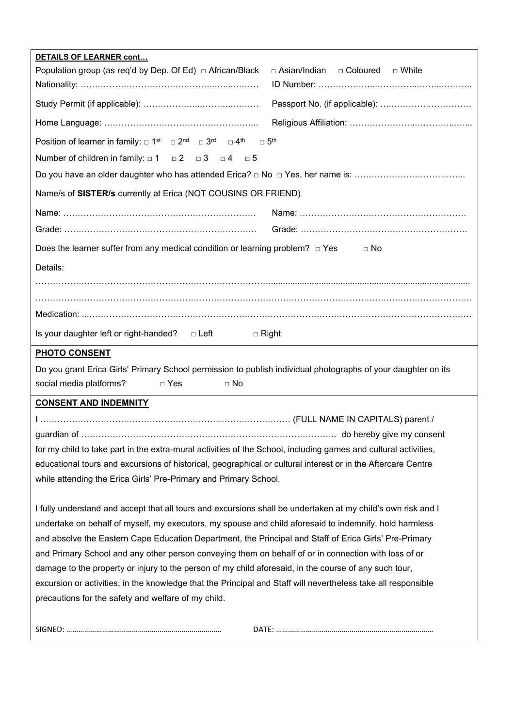| DETAILS OF LEARNER cont                                                                                                                           |
|---------------------------------------------------------------------------------------------------------------------------------------------------|
| Population group (as req'd by Dep. Of Ed) □ African/Black<br>□ Asian/Indian □ Coloured □ White                                                    |
|                                                                                                                                                   |
|                                                                                                                                                   |
|                                                                                                                                                   |
| Position of learner in family: $\Box$ 1 <sup>st</sup> $\Box$ 2 <sup>nd</sup> $\Box$ 3 <sup>rd</sup> $\Box$ 4 <sup>th</sup> $\Box$ 5 <sup>th</sup> |
| Number of children in family: $\Box 1$ $\Box 2$ $\Box 3$ $\Box 4$ $\Box 5$                                                                        |
|                                                                                                                                                   |
| Name/s of SISTER/s currently at Erica (NOT COUSINS OR FRIEND)                                                                                     |
|                                                                                                                                                   |
|                                                                                                                                                   |
| Does the learner suffer from any medical condition or learning problem? $\Box$ Yes $\Box$ No                                                      |
| Details:                                                                                                                                          |
|                                                                                                                                                   |
|                                                                                                                                                   |
|                                                                                                                                                   |
| Is your daughter left or right-handed? $\Box$ Left<br>$\Box$ Right                                                                                |
| <b>PHOTO CONSENT</b>                                                                                                                              |
| Do you grant Erica Girls' Primary School permission to publish individual photographs of your daughter on its                                     |
| social media platforms?<br>$\Box$ Yes<br>$\square$ No                                                                                             |
| <b>CONSENT AND INDEMNITY</b>                                                                                                                      |
|                                                                                                                                                   |
|                                                                                                                                                   |
| for my child to take part in the extra-mural activities of the School, including games and cultural activities,                                   |
| educational tours and excursions of historical, geographical or cultural interest or in the Aftercare Centre                                      |
| while attending the Erica Girls' Pre-Primary and Primary School.                                                                                  |
|                                                                                                                                                   |
| I fully understand and accept that all tours and excursions shall be undertaken at my child's own risk and I                                      |
| undertake on behalf of myself, my executors, my spouse and child aforesaid to indemnify, hold harmless                                            |
| and absolve the Eastern Cape Education Department, the Principal and Staff of Erica Girls' Pre-Primary                                            |
| and Primary School and any other person conveying them on behalf of or in connection with loss of or                                              |
| damage to the property or injury to the person of my child aforesaid, in the course of any such tour,                                             |
| excursion or activities, in the knowledge that the Principal and Staff will nevertheless take all responsible                                     |
| precautions for the safety and welfare of my child.                                                                                               |
|                                                                                                                                                   |
|                                                                                                                                                   |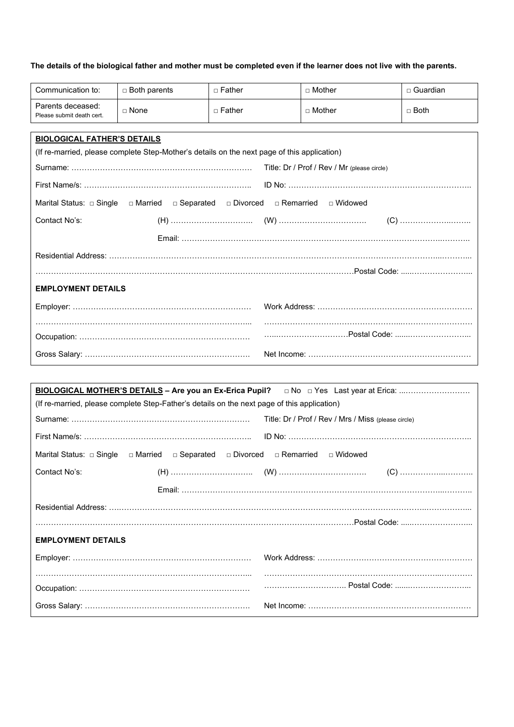## **The details of the biological father and mother must be completed even if the learner does not live with the parents.**

| Communication to:                              | $\Box$ Both parents                                                                         | $\Box$ Father                      | $\Box$ Mother                               | $\Box$ Guardian |
|------------------------------------------------|---------------------------------------------------------------------------------------------|------------------------------------|---------------------------------------------|-----------------|
| Parents deceased:<br>Please submit death cert. | $\Box$ None                                                                                 | $\sqcap$ Father                    | $\sqcap$ Mother                             | $\Box$ Both     |
|                                                |                                                                                             |                                    |                                             |                 |
| <b>BIOLOGICAL FATHER'S DETAILS</b>             |                                                                                             |                                    |                                             |                 |
|                                                | (If re-married, please complete Step-Mother's details on the next page of this application) |                                    |                                             |                 |
|                                                |                                                                                             |                                    | Title: Dr / Prof / Rev / Mr (please circle) |                 |
|                                                |                                                                                             |                                    |                                             |                 |
| Marital Status: $\Box$ Single                  | □ Married                                                                                   | □ Separated □ Divorced □ Remarried | $\sqcap$ Widowed                            |                 |
| Contact No's:                                  |                                                                                             |                                    |                                             |                 |
|                                                |                                                                                             |                                    |                                             |                 |
|                                                |                                                                                             |                                    |                                             |                 |
|                                                |                                                                                             |                                    |                                             |                 |
| <b>EMPLOYMENT DETAILS</b>                      |                                                                                             |                                    |                                             |                 |
|                                                |                                                                                             |                                    |                                             |                 |
|                                                |                                                                                             |                                    |                                             |                 |
|                                                |                                                                                             |                                    |                                             |                 |
|                                                |                                                                                             |                                    |                                             |                 |
|                                                |                                                                                             |                                    |                                             |                 |
|                                                |                                                                                             |                                    |                                             |                 |

| (If re-married, please complete Step-Father's details on the next page of this application) |                                                     |
|---------------------------------------------------------------------------------------------|-----------------------------------------------------|
|                                                                                             | Title: Dr / Prof / Rev / Mrs / Miss (please circle) |
|                                                                                             |                                                     |
| □ Married □ Separated □ Divorced □ Remarried □ Widowed<br>Marital Status: $\Box$ Single     |                                                     |
| Contact No's:                                                                               |                                                     |
|                                                                                             |                                                     |
|                                                                                             |                                                     |
|                                                                                             |                                                     |
| <b>EMPLOYMENT DETAILS</b>                                                                   |                                                     |
|                                                                                             |                                                     |
|                                                                                             |                                                     |
|                                                                                             | Postal Code:                                        |
|                                                                                             |                                                     |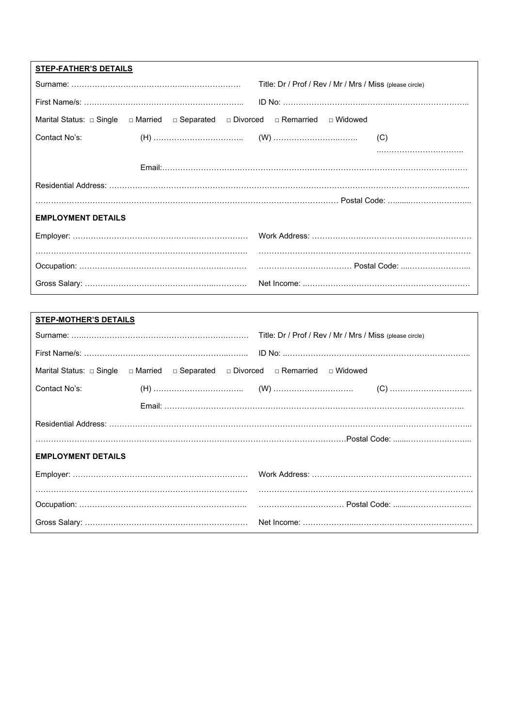| <b>STEP-FATHER'S DETAILS</b>                                                            |                                                          |
|-----------------------------------------------------------------------------------------|----------------------------------------------------------|
|                                                                                         | Title: Dr / Prof / Rev / Mr / Mrs / Miss (please circle) |
|                                                                                         |                                                          |
| □ Married □ Separated □ Divorced □ Remarried □ Widowed<br>Marital Status: $\Box$ Single |                                                          |
| Contact No's:                                                                           |                                                          |
|                                                                                         |                                                          |
|                                                                                         |                                                          |
|                                                                                         |                                                          |
|                                                                                         |                                                          |
| <b>EMPLOYMENT DETAILS</b>                                                               |                                                          |
|                                                                                         |                                                          |
|                                                                                         |                                                          |
|                                                                                         |                                                          |
|                                                                                         |                                                          |

| <b>STEP-MOTHER'S DETAILS</b>                                                    |                                                               |
|---------------------------------------------------------------------------------|---------------------------------------------------------------|
|                                                                                 |                                                               |
|                                                                                 |                                                               |
| Marital Status: □ Single □ Married □ Separated □ Divorced □ Remarried □ Widowed |                                                               |
| Contact No's:                                                                   |                                                               |
|                                                                                 |                                                               |
|                                                                                 |                                                               |
|                                                                                 | …………………………………………………………………………………………………Postal Code: …………………………… |
| <b>EMPLOYMENT DETAILS</b>                                                       |                                                               |
|                                                                                 |                                                               |
|                                                                                 |                                                               |
|                                                                                 |                                                               |
|                                                                                 |                                                               |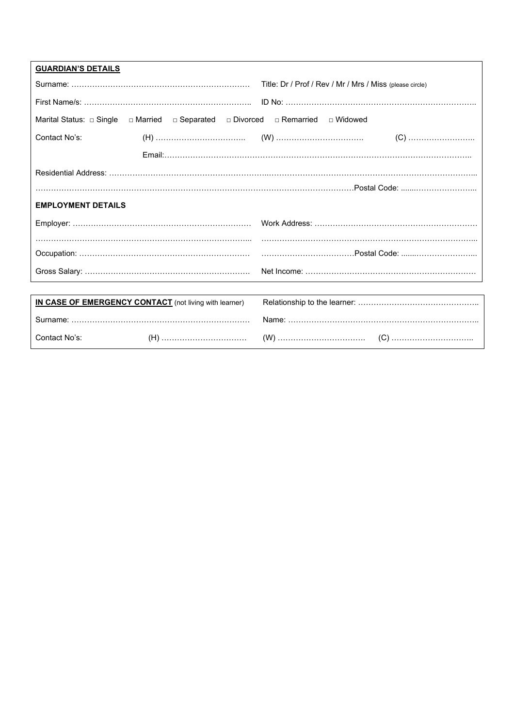| <b>GUARDIAN'S DETAILS</b>     |                                                               |                                                          |
|-------------------------------|---------------------------------------------------------------|----------------------------------------------------------|
|                               |                                                               | Title: Dr / Prof / Rev / Mr / Mrs / Miss (please circle) |
|                               |                                                               |                                                          |
| Marital Status: $\Box$ Single | □ Married □ Separated □ Divorced □ Remarried                  | □ Widowed                                                |
| Contact No's:                 |                                                               |                                                          |
|                               |                                                               |                                                          |
|                               |                                                               |                                                          |
|                               |                                                               |                                                          |
| <b>EMPLOYMENT DETAILS</b>     |                                                               |                                                          |
|                               |                                                               |                                                          |
|                               |                                                               |                                                          |
|                               |                                                               |                                                          |
|                               |                                                               |                                                          |
|                               |                                                               |                                                          |
|                               | <b>IN CASE OF EMERGENCY CONTACT</b> (not living with learner) |                                                          |
|                               |                                                               |                                                          |
| Contact No's:                 |                                                               |                                                          |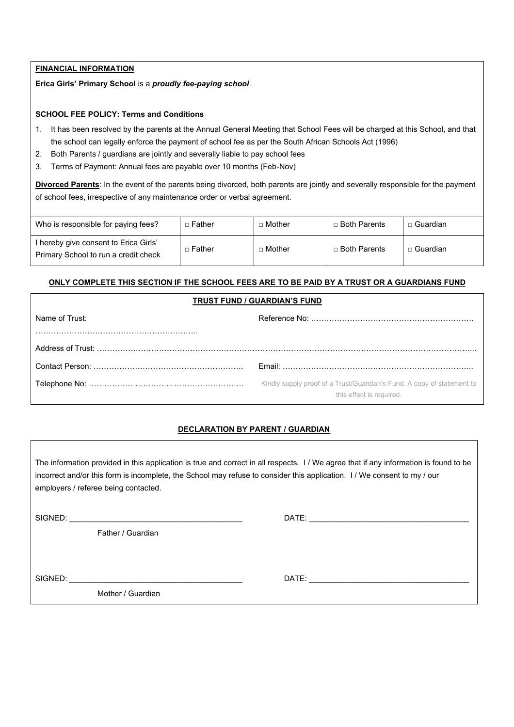### **FINANCIAL INFORMATION**

**Erica Girls' Primary School** is a *proudly fee-paying school*.

#### **SCHOOL FEE POLICY: Terms and Conditions**

- 1. It has been resolved by the parents at the Annual General Meeting that School Fees will be charged at this School, and that the school can legally enforce the payment of school fee as per the South African Schools Act (1996)
- 2. Both Parents / guardians are jointly and severally liable to pay school fees
- 3. Terms of Payment: Annual fees are payable over 10 months (Feb-Nov)

**Divorced Parents**: In the event of the parents being divorced, both parents are jointly and severally responsible for the payment of school fees, irrespective of any maintenance order or verbal agreement.

| Who is responsible for paying fees?                                         | ⊤ Father | $\sqcap$ Mother | $\Box$ Both Parents | Guardian |
|-----------------------------------------------------------------------------|----------|-----------------|---------------------|----------|
| hereby give consent to Erica Girls'<br>Primary School to run a credit check | □ Father | $\Box$ Mother   | □ Both Parents      | Guardian |

#### **ONLY COMPLETE THIS SECTION IF THE SCHOOL FEES ARE TO BE PAID BY A TRUST OR A GUARDIANS FUND**

## **TRUST FUND / GUARDIAN'S FUND**

| Name of Trust: |                                                                                                    |
|----------------|----------------------------------------------------------------------------------------------------|
|                |                                                                                                    |
|                |                                                                                                    |
|                |                                                                                                    |
|                | Kindly supply proof of a Trust/Guardian's Fund. A copy of statement to<br>this effect is required. |

## **DECLARATION BY PARENT / GUARDIAN**

The information provided in this application is true and correct in all respects. I / We agree that if any information is found to be incorrect and/or this form is incomplete, the School may refuse to consider this application. I / We consent to my / our employers / referee being contacted.

| SIGNED: |  |
|---------|--|
|         |  |

Father / Guardian

SIGNED: \_\_\_\_\_\_\_\_\_\_\_\_\_\_\_\_\_\_\_\_\_\_\_\_\_\_\_\_\_\_\_\_\_\_\_\_\_\_\_\_ DATE: \_\_\_\_\_\_\_\_\_\_\_\_\_\_\_\_\_\_\_\_\_\_\_\_\_\_\_\_\_\_\_\_\_\_\_\_\_

SIGNED: \_\_\_\_\_\_\_\_\_\_\_\_\_\_\_\_\_\_\_\_\_\_\_\_\_\_\_\_\_\_\_\_\_\_\_\_\_\_\_\_ DATE: \_\_\_\_\_\_\_\_\_\_\_\_\_\_\_\_\_\_\_\_\_\_\_\_\_\_\_\_\_\_\_\_\_\_\_\_\_

Mother / Guardian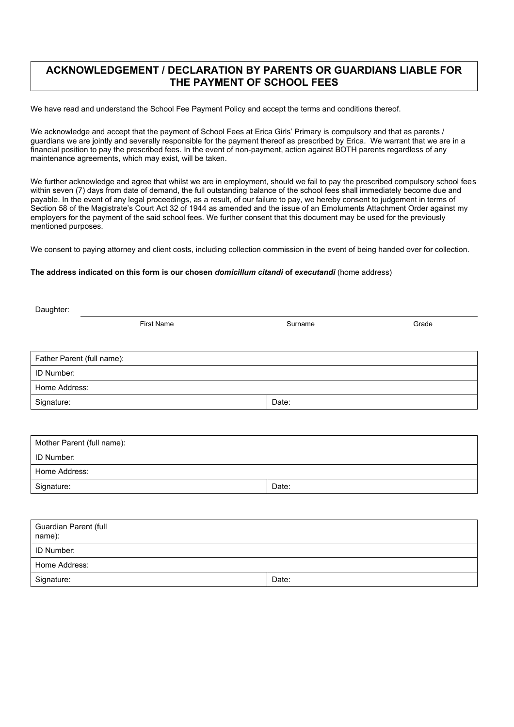# **ACKNOWLEDGEMENT / DECLARATION BY PARENTS OR GUARDIANS LIABLE FOR THE PAYMENT OF SCHOOL FEES**

We have read and understand the School Fee Payment Policy and accept the terms and conditions thereof.

We acknowledge and accept that the payment of School Fees at Erica Girls' Primary is compulsory and that as parents / guardians we are jointly and severally responsible for the payment thereof as prescribed by Erica. We warrant that we are in a financial position to pay the prescribed fees. In the event of non-payment, action against BOTH parents regardless of any maintenance agreements, which may exist, will be taken.

We further acknowledge and agree that whilst we are in employment, should we fail to pay the prescribed compulsory school fees within seven (7) days from date of demand, the full outstanding balance of the school fees shall immediately become due and payable. In the event of any legal proceedings, as a result, of our failure to pay, we hereby consent to judgement in terms of Section 58 of the Magistrate's Court Act 32 of 1944 as amended and the issue of an Emoluments Attachment Order against my employers for the payment of the said school fees. We further consent that this document may be used for the previously mentioned purposes.

We consent to paying attorney and client costs, including collection commission in the event of being handed over for collection.

#### **The address indicated on this form is our chosen** *domicillum citandi* **of** *executandi* (home address)

| Daughter:                       |                   |         |       |
|---------------------------------|-------------------|---------|-------|
|                                 | <b>First Name</b> | Surname | Grade |
|                                 |                   |         |       |
| Father Parent (full name):      |                   |         |       |
| ID Number:                      |                   |         |       |
| Home Address:                   |                   |         |       |
| Signature:                      |                   | Date:   |       |
|                                 |                   |         |       |
|                                 |                   |         |       |
| Mother Parent (full name):      |                   |         |       |
| ID Number:                      |                   |         |       |
| Home Address:                   |                   |         |       |
| Signature:                      |                   | Date:   |       |
|                                 |                   |         |       |
|                                 |                   |         |       |
| Guardian Parent (full<br>name): |                   |         |       |
| ID Number:                      |                   |         |       |
| Home Address:                   |                   |         |       |
| Signature:                      |                   | Date:   |       |